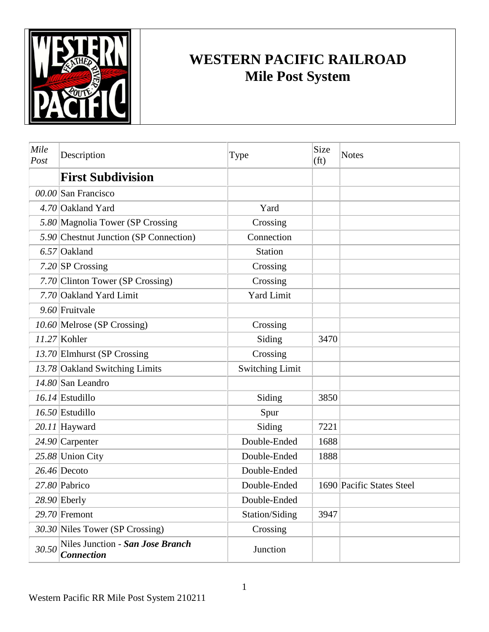

## **WESTERN PACIFIC RAILROAD Mile Post System**

| Mile<br>Post | Description                                           | Type                   | Size<br>(f <sub>t</sub> ) | <b>Notes</b>              |
|--------------|-------------------------------------------------------|------------------------|---------------------------|---------------------------|
|              | <b>First Subdivision</b>                              |                        |                           |                           |
|              | 00.00 San Francisco                                   |                        |                           |                           |
|              | 4.70 Oakland Yard                                     | Yard                   |                           |                           |
|              | 5.80 Magnolia Tower (SP Crossing                      | Crossing               |                           |                           |
|              | 5.90 Chestnut Junction (SP Connection)                | Connection             |                           |                           |
|              | $6.57$ Oakland                                        | <b>Station</b>         |                           |                           |
|              | $7.20$ SP Crossing                                    | Crossing               |                           |                           |
|              | 7.70 Clinton Tower (SP Crossing)                      | Crossing               |                           |                           |
|              | 7.70 Oakland Yard Limit                               | <b>Yard Limit</b>      |                           |                           |
|              | 9.60 Fruitvale                                        |                        |                           |                           |
|              | 10.60 Melrose (SP Crossing)                           | Crossing               |                           |                           |
|              | $11.27$ Kohler                                        | Siding                 | 3470                      |                           |
|              | 13.70 Elmhurst (SP Crossing                           | Crossing               |                           |                           |
|              | 13.78 Oakland Switching Limits                        | <b>Switching Limit</b> |                           |                           |
|              | 14.80 San Leandro                                     |                        |                           |                           |
|              | $16.14$ Estudillo                                     | Siding                 | 3850                      |                           |
|              | $16.50$ Estudillo                                     | Spur                   |                           |                           |
|              | 20.11 Hayward                                         | Siding                 | 7221                      |                           |
|              | $24.90$ Carpenter                                     | Double-Ended           | 1688                      |                           |
|              | 25.88 Union City                                      | Double-Ended           | 1888                      |                           |
|              | $26.46$ Decoto                                        | Double-Ended           |                           |                           |
|              | 27.80 Pabrico                                         | Double-Ended           |                           | 1690 Pacific States Steel |
|              | $28.90$ Eberly                                        | Double-Ended           |                           |                           |
|              | $29.70$ Fremont                                       | Station/Siding         | 3947                      |                           |
|              | 30.30 Niles Tower (SP Crossing)                       | Crossing               |                           |                           |
| 30.50        | Niles Junction - San Jose Branch<br><b>Connection</b> | Junction               |                           |                           |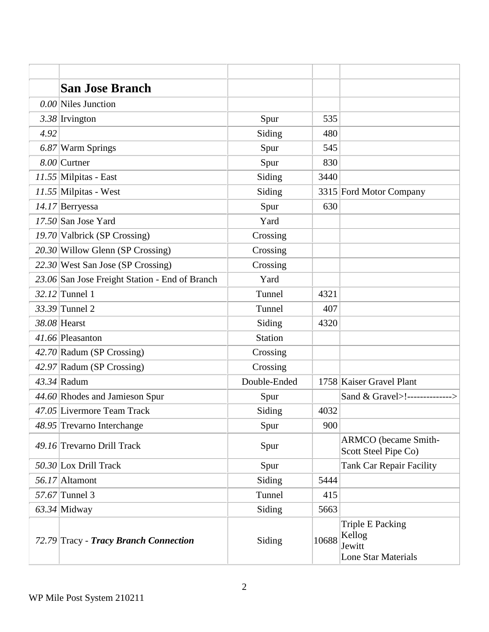|      | <b>San Jose Branch</b>                         |                |       |                                                                    |
|------|------------------------------------------------|----------------|-------|--------------------------------------------------------------------|
|      | $0.00$ Niles Junction                          |                |       |                                                                    |
|      | $3.38$ Irvington                               | Spur           | 535   |                                                                    |
| 4.92 |                                                | Siding         | 480   |                                                                    |
|      | 6.87 Warm Springs                              | Spur           | 545   |                                                                    |
|      | $8.00$ Curtner                                 | Spur           | 830   |                                                                    |
|      | $11.55$ Milpitas - East                        | Siding         | 3440  |                                                                    |
|      | $11.55$ Milpitas - West                        | Siding         |       | 3315 Ford Motor Company                                            |
|      | 14.17 Berryessa                                | Spur           | 630   |                                                                    |
|      | $17.50$ San Jose Yard                          | Yard           |       |                                                                    |
|      | 19.70 Valbrick (SP Crossing)                   | Crossing       |       |                                                                    |
|      | $20.30$ Willow Glenn (SP Crossing)             | Crossing       |       |                                                                    |
|      | $22.30$ West San Jose (SP Crossing)            | Crossing       |       |                                                                    |
|      | 23.06 San Jose Freight Station - End of Branch | Yard           |       |                                                                    |
|      | $32.12$ Tunnel 1                               | Tunnel         | 4321  |                                                                    |
|      | $33.39$ Tunnel 2                               | Tunnel         | 407   |                                                                    |
|      | 38.08 Hearst                                   | Siding         | 4320  |                                                                    |
|      | 41.66 Pleasanton                               | <b>Station</b> |       |                                                                    |
|      | $42.70$ Radum (SP Crossing)                    | Crossing       |       |                                                                    |
|      | $42.97$ Radum (SP Crossing)                    | Crossing       |       |                                                                    |
|      | $43.34$ Radum                                  | Double-Ended   |       | 1758 Kaiser Gravel Plant                                           |
|      | 44.60 Rhodes and Jamieson Spur                 | Spur           |       | Sand & Gravel>!-------------->                                     |
|      | 47.05 Livermore Team Track                     | Siding         | 4032  |                                                                    |
|      | 48.95 Trevarno Interchange                     | Spur           | 900   |                                                                    |
|      | 49.16 Trevarno Drill Track                     | Spur           |       | <b>ARMCO</b> (became Smith-<br>Scott Steel Pipe Co)                |
|      | 50.30 Lox Drill Track                          | Spur           |       | <b>Tank Car Repair Facility</b>                                    |
|      | 56.17 Altamont                                 | Siding         | 5444  |                                                                    |
|      | $57.67$ Tunnel 3                               | Tunnel         | 415   |                                                                    |
|      | $63.34$ Midway                                 | Siding         | 5663  |                                                                    |
|      | 72.79 Tracy - Tracy Branch Connection          | Siding         | 10688 | Triple E Packing<br>Kellog<br>Jewitt<br><b>Lone Star Materials</b> |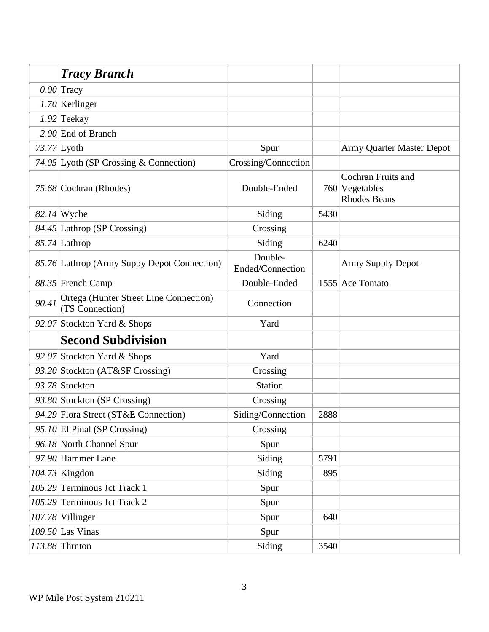|       | <b>Tracy Branch</b>                                       |                             |      |                                                                      |
|-------|-----------------------------------------------------------|-----------------------------|------|----------------------------------------------------------------------|
|       | $0.00$ Tracy                                              |                             |      |                                                                      |
|       | $1.70$ Kerlinger                                          |                             |      |                                                                      |
|       | $1.92$ Teekay                                             |                             |      |                                                                      |
|       | $2.00$ End of Branch                                      |                             |      |                                                                      |
|       | $73.77$ Lyoth                                             | Spur                        |      | Army Quarter Master Depot                                            |
|       | 74.05 Lyoth (SP Crossing & Connection)                    | Crossing/Connection         |      |                                                                      |
|       | 75.68 Cochran (Rhodes)                                    | Double-Ended                |      | <b>Cochran Fruits and</b><br>$760$ Vegetables<br><b>Rhodes Beans</b> |
|       | $82.14$ Wyche                                             | Siding                      | 5430 |                                                                      |
|       | 84.45 Lathrop (SP Crossing)                               | Crossing                    |      |                                                                      |
|       | 85.74 Lathrop                                             | Siding                      | 6240 |                                                                      |
|       | 85.76 Lathrop (Army Suppy Depot Connection)               | Double-<br>Ended/Connection |      | <b>Army Supply Depot</b>                                             |
|       | 88.35 French Camp                                         | Double-Ended                |      | 1555 Ace Tomato                                                      |
| 90.41 | Ortega (Hunter Street Line Connection)<br>(TS Connection) | Connection                  |      |                                                                      |
|       | 92.07 Stockton Yard & Shops                               | Yard                        |      |                                                                      |
|       | <b>Second Subdivision</b>                                 |                             |      |                                                                      |
|       | 92.07 Stockton Yard & Shops                               | Yard                        |      |                                                                      |
|       | 93.20 Stockton (AT&SF Crossing)                           | Crossing                    |      |                                                                      |
|       | 93.78 Stockton                                            | <b>Station</b>              |      |                                                                      |
|       | 93.80 Stockton (SP Crossing)                              | Crossing                    |      |                                                                      |
|       | 94.29 Flora Street (ST&E Connection)                      | Siding/Connection           | 2888 |                                                                      |
|       | 95.10 El Pinal (SP Crossing)                              | Crossing                    |      |                                                                      |
|       | 96.18 North Channel Spur                                  | Spur                        |      |                                                                      |
|       | 97.90 Hammer Lane                                         | Siding                      | 5791 |                                                                      |
|       | $104.73$ Kingdon                                          | Siding                      | 895  |                                                                      |
|       | 105.29 Terminous Jct Track 1                              | Spur                        |      |                                                                      |
|       | 105.29 Terminous Jct Track 2                              | Spur                        |      |                                                                      |
|       | $107.78$ Villinger                                        | Spur                        | 640  |                                                                      |
|       | $109.50$ Las Vinas                                        | Spur                        |      |                                                                      |
|       | $113.88$ Thrnton                                          | Siding                      | 3540 |                                                                      |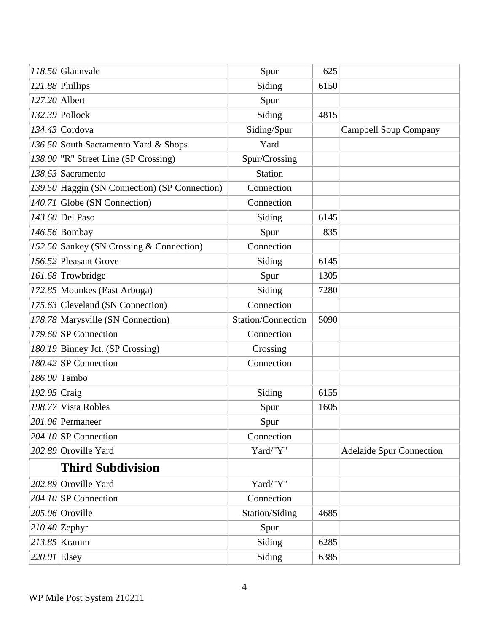|                | $118.50$ Glannvale                            | Spur               | 625  |                                 |
|----------------|-----------------------------------------------|--------------------|------|---------------------------------|
|                | 121.88 Phillips                               | Siding             | 6150 |                                 |
|                | $127.20$ Albert                               | Spur               |      |                                 |
|                | $132.39$ Pollock                              | Siding             | 4815 |                                 |
|                | $134.43$ Cordova                              | Siding/Spur        |      | <b>Campbell Soup Company</b>    |
|                | 136.50 South Sacramento Yard & Shops          | Yard               |      |                                 |
|                | 138.00 "R" Street Line (SP Crossing)          | Spur/Crossing      |      |                                 |
|                | $138.63$ Sacramento                           | Station            |      |                                 |
|                | 139.50 Haggin (SN Connection) (SP Connection) | Connection         |      |                                 |
|                | $140.71$ Globe (SN Connection)                | Connection         |      |                                 |
|                | $143.60$ Del Paso                             | Siding             | 6145 |                                 |
|                | $146.56$ Bombay                               | Spur               | 835  |                                 |
|                | 152.50 Sankey (SN Crossing & Connection)      | Connection         |      |                                 |
|                | 156.52 Pleasant Grove                         | Siding             | 6145 |                                 |
|                | 161.68 Trowbridge                             | Spur               | 1305 |                                 |
|                | 172.85 Mounkes (East Arboga)                  | Siding             | 7280 |                                 |
|                | 175.63 Cleveland (SN Connection)              | Connection         |      |                                 |
|                | 178.78 Marysville (SN Connection)             | Station/Connection | 5090 |                                 |
|                | $179.60$ SP Connection                        | Connection         |      |                                 |
|                | 180.19 Binney Jct. (SP Crossing)              | Crossing           |      |                                 |
|                | $180.42$ SP Connection                        | Connection         |      |                                 |
|                | 186.00 Tambo                                  |                    |      |                                 |
| 192.95 Craig   |                                               | Siding             | 6155 |                                 |
|                | 198.77 Vista Robles                           | Spur               | 1605 |                                 |
|                | 201.06 Permaneer                              | Spur               |      |                                 |
|                | $204.10$ SP Connection                        | Connection         |      |                                 |
|                | 202.89 Oroville Yard                          | Yard/"Y"           |      | <b>Adelaide Spur Connection</b> |
|                | <b>Third Subdivision</b>                      |                    |      |                                 |
|                | 202.89 Oroville Yard                          | Yard/"Y"           |      |                                 |
|                | 204.10 SP Connection                          | Connection         |      |                                 |
|                | $205.06$ Oroville                             | Station/Siding     | 4685 |                                 |
|                | $210.40$ Zephyr                               | Spur               |      |                                 |
|                | $213.85$ Kramm                                | Siding             | 6285 |                                 |
| $220.01$ Elsey |                                               | Siding             | 6385 |                                 |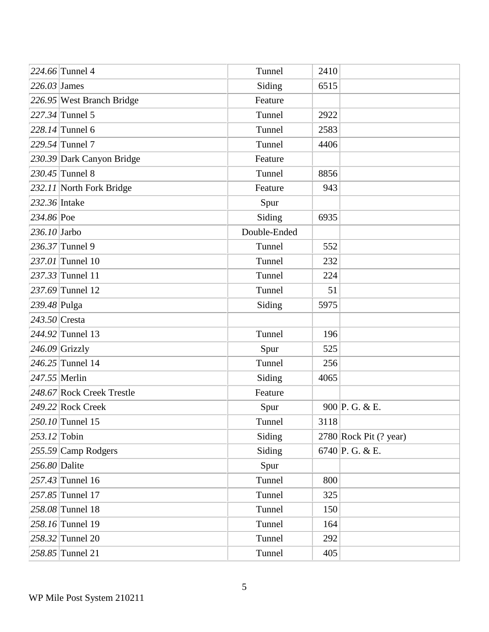|                 | 224.66 Tunnel 4           | Tunnel       | 2410 |                          |
|-----------------|---------------------------|--------------|------|--------------------------|
| $226.03$ James  |                           | Siding       | 6515 |                          |
|                 | 226.95 West Branch Bridge | Feature      |      |                          |
|                 | $227.34$ Tunnel 5         | Tunnel       | 2922 |                          |
|                 | $228.14$ Tunnel 6         | Tunnel       | 2583 |                          |
|                 | $229.54$ Tunnel 7         | Tunnel       | 4406 |                          |
|                 | 230.39 Dark Canyon Bridge | Feature      |      |                          |
|                 | $230.45$ Tunnel 8         | Tunnel       | 8856 |                          |
|                 | 232.11 North Fork Bridge  | Feature      | 943  |                          |
| 232.36 Intake   |                           | Spur         |      |                          |
| 234.86 Poe      |                           | Siding       | 6935 |                          |
| $236.10$ Jarbo  |                           | Double-Ended |      |                          |
|                 | $236.37$ Tunnel 9         | Tunnel       | 552  |                          |
|                 | 237.01 Tunnel 10          | Tunnel       | 232  |                          |
|                 | 237.33 Tunnel 11          | Tunnel       | 224  |                          |
|                 | $237.69$ Tunnel 12        | Tunnel       | 51   |                          |
| 239.48 Pulga    |                           | Siding       | 5975 |                          |
| $243.50$ Cresta |                           |              |      |                          |
|                 | 244.92 Tunnel 13          | Tunnel       | 196  |                          |
|                 | $246.09$ Grizzly          | Spur         | 525  |                          |
|                 | $246.25$ Tunnel 14        | Tunnel       | 256  |                          |
| $247.55$ Merlin |                           | Siding       | 4065 |                          |
|                 | 248.67 Rock Creek Trestle | Feature      |      |                          |
|                 | 249.22 Rock Creek         | Spur         |      | 900 P. G. & E.           |
|                 | 250.10 Tunnel 15          | Tunnel       | 3118 |                          |
| $253.12$ Tobin  |                           | Siding       |      | $2780$ Rock Pit (? year) |
|                 | $255.59$ Camp Rodgers     | Siding       |      | 6740 P.G. & E.           |
| 256.80 Dalite   |                           | Spur         |      |                          |
|                 | 257.43 Tunnel 16          | Tunnel       | 800  |                          |
|                 | 257.85 Tunnel 17          | Tunnel       | 325  |                          |
|                 | 258.08 Tunnel 18          | Tunnel       | 150  |                          |
|                 | 258.16 Tunnel 19          | Tunnel       | 164  |                          |
|                 | 258.32 Tunnel 20          | Tunnel       | 292  |                          |
|                 | $258.85$ Tunnel 21        | Tunnel       | 405  |                          |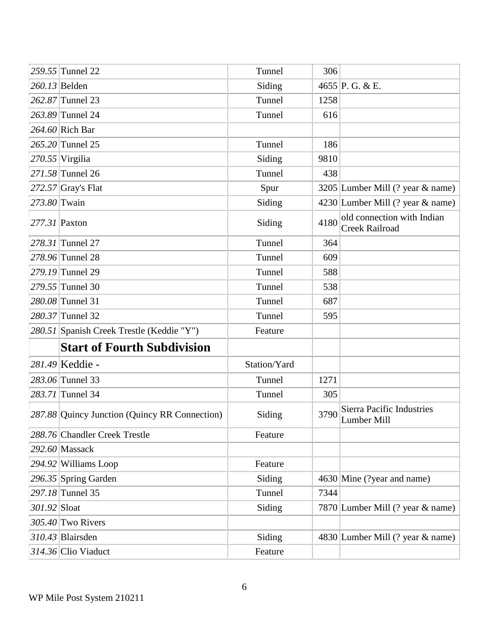|              | 259.55 Tunnel 22                              | Tunnel       | 306  |                                                     |
|--------------|-----------------------------------------------|--------------|------|-----------------------------------------------------|
|              | 260.13 Belden                                 | Siding       |      | 4655 P.G. & E.                                      |
|              | 262.87 Tunnel 23                              | Tunnel       | 1258 |                                                     |
|              | 263.89 Tunnel 24                              | Tunnel       | 616  |                                                     |
|              | $264.60$ Rich Bar                             |              |      |                                                     |
|              | $265.20$ Tunnel 25                            | Tunnel       | 186  |                                                     |
|              | $270.55$ Virgilia                             | Siding       | 9810 |                                                     |
|              | 271.58 Tunnel 26                              | Tunnel       | 438  |                                                     |
|              | $272.57$ Gray's Flat                          | Spur         |      | 3205 Lumber Mill (? year & name)                    |
| 273.80 Twain |                                               | Siding       |      | 4230 Lumber Mill (? year & name)                    |
|              | 277.31 Paxton                                 | Siding       | 4180 | old connection with Indian<br><b>Creek Railroad</b> |
|              | 278.31 Tunnel 27                              | Tunnel       | 364  |                                                     |
|              | 278.96 Tunnel 28                              | Tunnel       | 609  |                                                     |
|              | 279.19 Tunnel 29                              | Tunnel       | 588  |                                                     |
|              | 279.55 Tunnel 30                              | Tunnel       | 538  |                                                     |
|              | 280.08 Tunnel 31                              | Tunnel       | 687  |                                                     |
|              | 280.37 Tunnel 32                              | Tunnel       | 595  |                                                     |
|              | 280.51 Spanish Creek Trestle (Keddie "Y")     | Feature      |      |                                                     |
|              | <b>Start of Fourth Subdivision</b>            |              |      |                                                     |
|              | 281.49 Keddie -                               | Station/Yard |      |                                                     |
|              | 283.06 Tunnel 33                              | Tunnel       | 1271 |                                                     |
|              | 283.71 Tunnel 34                              | Tunnel       | 305  |                                                     |
|              | 287.88 Quincy Junction (Quincy RR Connection) | Siding       | 3790 | Sierra Pacific Industries<br>Lumber Mill            |
|              | 288.76 Chandler Creek Trestle                 | Feature      |      |                                                     |
|              | $292.60$ Massack                              |              |      |                                                     |
|              | $294.92$ Williams Loop                        | Feature      |      |                                                     |
|              | $296.35$ Spring Garden                        | Siding       |      | 4630 Mine (?year and name)                          |
|              | 297.18 Tunnel 35                              | Tunnel       | 7344 |                                                     |
| 301.92 Sloat |                                               | Siding       |      | 7870 Lumber Mill (? year & name)                    |
|              | $305.40$ Two Rivers                           |              |      |                                                     |
|              | 310.43 Blairsden                              | Siding       |      | 4830 Lumber Mill (? year & name)                    |
|              | 314.36 Clio Viaduct                           | Feature      |      |                                                     |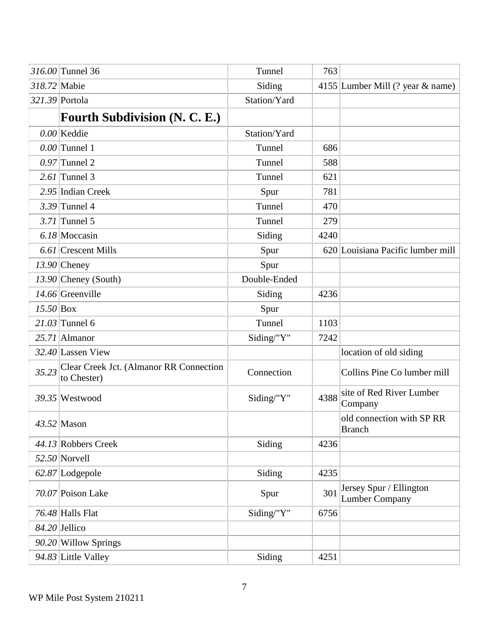|              | 316.00 Tunnel 36                                       | Tunnel       | 763  |                                                  |
|--------------|--------------------------------------------------------|--------------|------|--------------------------------------------------|
| 318.72 Mabie |                                                        | Siding       |      | 4155 Lumber Mill (? year & name)                 |
|              | 321.39 Portola                                         | Station/Yard |      |                                                  |
|              | <b>Fourth Subdivision (N. C. E.)</b>                   |              |      |                                                  |
|              | $0.00$ Keddie                                          | Station/Yard |      |                                                  |
|              | $0.00$ Tunnel 1                                        | Tunnel       | 686  |                                                  |
|              | $0.97$ Tunnel 2                                        | Tunnel       | 588  |                                                  |
|              | $2.61$ Tunnel 3                                        | Tunnel       | 621  |                                                  |
|              | 2.95 Indian Creek                                      | Spur         | 781  |                                                  |
|              | $3.39$ Tunnel 4                                        | Tunnel       | 470  |                                                  |
|              | $3.71$ Tunnel 5                                        | Tunnel       | 279  |                                                  |
|              | $6.18$ Moccasin                                        | Siding       | 4240 |                                                  |
|              | $6.61$ Crescent Mills                                  | Spur         |      | 620 Louisiana Pacific lumber mill                |
|              | $13.90$ Cheney                                         | Spur         |      |                                                  |
|              | $13.90$ Cheney (South)                                 | Double-Ended |      |                                                  |
|              | $14.66$ Greenville                                     | Siding       | 4236 |                                                  |
| $15.50$ Box  |                                                        | Spur         |      |                                                  |
|              | $21.03$ Tunnel 6                                       | Tunnel       | 1103 |                                                  |
|              | $25.71$ Almanor                                        | Siding/"Y"   | 7242 |                                                  |
|              | $32.40$ Lassen View                                    |              |      | location of old siding                           |
| 35.23        | Clear Creek Jct. (Almanor RR Connection<br>to Chester) | Connection   |      | Collins Pine Co lumber mill                      |
|              | $39.35$ Westwood                                       | Siding/"Y"   | 4388 | site of Red River Lumber<br>Company              |
|              | $43.52$ Mason                                          |              |      | old connection with SP RR<br><b>Branch</b>       |
|              | 44.13 Robbers Creek                                    | Siding       | 4236 |                                                  |
|              | $52.50$ Norvell                                        |              |      |                                                  |
|              | 62.87 Lodgepole                                        | Siding       | 4235 |                                                  |
|              | $70.07$ Poison Lake                                    | Spur         | 301  | Jersey Spur / Ellington<br><b>Lumber Company</b> |
|              | $76.48$ Halls Flat                                     | Siding/"Y"   | 6756 |                                                  |
|              | $84.20$ Jellico                                        |              |      |                                                  |
|              | $90.20$ Willow Springs                                 |              |      |                                                  |
|              | 94.83 Little Valley                                    | Siding       | 4251 |                                                  |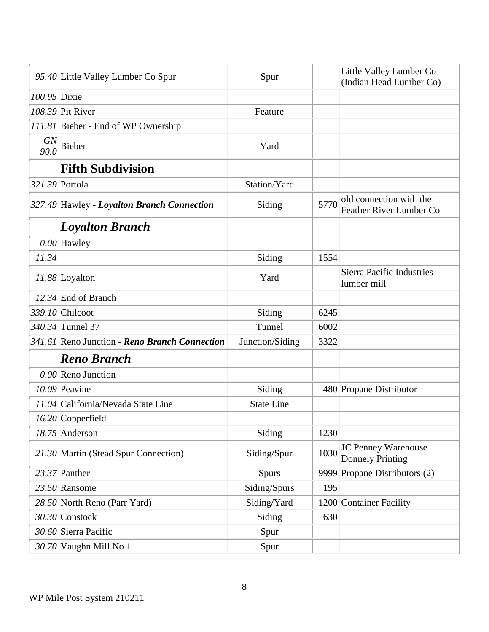|                   | 95.40 Little Valley Lumber Co Spur            | Spur              |      | Little Valley Lumber Co<br>(Indian Head Lumber Co) |
|-------------------|-----------------------------------------------|-------------------|------|----------------------------------------------------|
| 100.95 Dixie      |                                               |                   |      |                                                    |
|                   | $108.39$ Pit River                            | Feature           |      |                                                    |
|                   | 111.81 Bieber - End of WP Ownership           |                   |      |                                                    |
| <b>GN</b><br>90.0 | Bieber                                        | Yard              |      |                                                    |
|                   | <b>Fifth Subdivision</b>                      |                   |      |                                                    |
|                   | 321.39 Portola                                | Station/Yard      |      |                                                    |
|                   | 327.49 Hawley - Loyalton Branch Connection    | Siding            | 5770 | old connection with the<br>Feather River Lumber Co |
|                   | <b>Loyalton Branch</b>                        |                   |      |                                                    |
|                   | $0.00$ Hawley                                 |                   |      |                                                    |
| 11.34             |                                               | Siding            | 1554 |                                                    |
|                   | $11.88$ Loyalton                              | Yard              |      | <b>Sierra Pacific Industries</b><br>lumber mill    |
|                   | $12.34$ End of Branch                         |                   |      |                                                    |
|                   | 339.10 Chilcoot                               | Siding            | 6245 |                                                    |
|                   | 340.34 Tunnel 37                              | Tunnel            | 6002 |                                                    |
|                   | 341.61 Reno Junction - Reno Branch Connection | Junction/Siding   | 3322 |                                                    |
|                   | <b>Reno Branch</b>                            |                   |      |                                                    |
|                   | $0.00$ Reno Junction                          |                   |      |                                                    |
|                   | $10.09$ Peavine                               | Siding            |      | 480 Propane Distributor                            |
|                   | 11.04 California/Nevada State Line            | <b>State Line</b> |      |                                                    |
|                   | $16.20$ Copperfield                           |                   |      |                                                    |
|                   | $18.75$ Anderson                              | Siding            | 1230 |                                                    |
|                   | 21.30 Martin (Stead Spur Connection)          | Siding/Spur       | 1030 | JC Penney Warehouse<br><b>Donnely Printing</b>     |
|                   | $23.37$ Panther                               | <b>Spurs</b>      |      | 9999 Propane Distributors (2)                      |
|                   | $23.50$ Ransome                               | Siding/Spurs      | 195  |                                                    |
|                   | 28.50 North Reno (Parr Yard)                  | Siding/Yard       |      | 1200 Container Facility                            |
|                   | $30.30$ Constock                              | Siding            | 630  |                                                    |
|                   | 30.60 Sierra Pacific                          | Spur              |      |                                                    |
|                   | 30.70 Vaughn Mill No 1                        | Spur              |      |                                                    |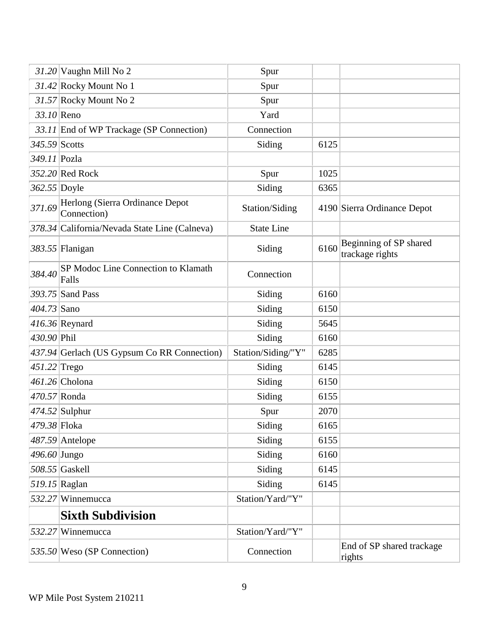|                 | $31.20$ Vaughn Mill No 2                       | Spur               |      |                                           |
|-----------------|------------------------------------------------|--------------------|------|-------------------------------------------|
|                 | $31.42$ Rocky Mount No 1                       | Spur               |      |                                           |
|                 | 31.57 Rocky Mount No 2                         | Spur               |      |                                           |
| $33.10$ Reno    |                                                | Yard               |      |                                           |
|                 | 33.11 End of WP Trackage (SP Connection)       | Connection         |      |                                           |
| $345.59$ Scotts |                                                | Siding             | 6125 |                                           |
| 349.11 Pozla    |                                                |                    |      |                                           |
|                 | 352.20 Red Rock                                | Spur               | 1025 |                                           |
| $362.55$ Doyle  |                                                | Siding             | 6365 |                                           |
| 371.69          | Herlong (Sierra Ordinance Depot<br>Connection) | Station/Siding     |      | 4190 Sierra Ordinance Depot               |
|                 | 378.34 California/Nevada State Line (Calneva)  | <b>State Line</b>  |      |                                           |
|                 | 383.55 Flanigan                                | Siding             | 6160 | Beginning of SP shared<br>trackage rights |
| 384.40          | SP Modoc Line Connection to Klamath<br>Falls   | Connection         |      |                                           |
|                 | 393.75 Sand Pass                               | Siding             | 6160 |                                           |
| 404.73 Sano     |                                                | Siding             | 6150 |                                           |
|                 | $416.36$ Reynard                               | Siding             | 5645 |                                           |
| 430.90 Phil     |                                                | Siding             | 6160 |                                           |
|                 | 437.94 Gerlach (US Gypsum Co RR Connection)    | Station/Siding/"Y" | 6285 |                                           |
| $451.22$ Trego  |                                                | Siding             | 6145 |                                           |
|                 | $461.26$ Cholona                               | Siding             | 6150 |                                           |
|                 | $470.57$ Ronda                                 | Siding             | 6155 |                                           |
|                 | $474.52$ Sulphur                               | Spur               | 2070 |                                           |
| 479.38 Floka    |                                                | Siding             | 6165 |                                           |
|                 | $487.59$ Antelope                              | Siding             | 6155 |                                           |
| $496.60$ Jungo  |                                                | Siding             | 6160 |                                           |
|                 | $508.55$ Gaskell                               | Siding             | 6145 |                                           |
|                 | 519.15 Raglan                                  | Siding             | 6145 |                                           |
|                 | 532.27 Winnemucca                              | Station/Yard/"Y"   |      |                                           |
|                 | <b>Sixth Subdivision</b>                       |                    |      |                                           |
|                 | 532.27 Winnemucca                              | Station/Yard/"Y"   |      |                                           |
|                 | 535.50 Weso (SP Connection)                    | Connection         |      | End of SP shared trackage<br>rights       |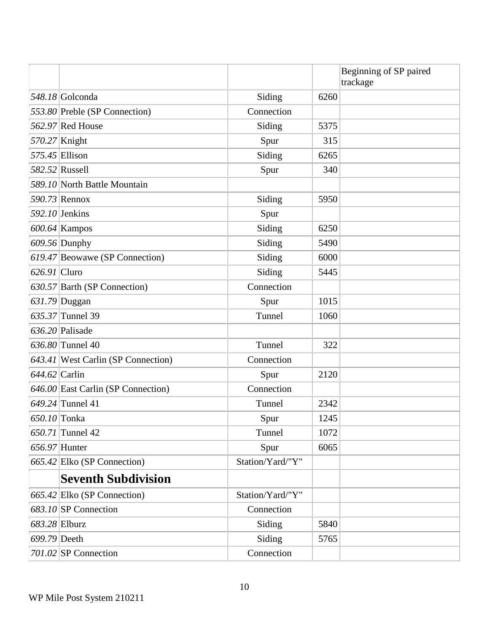|                 |                                    |                  |      | Beginning of SP paired<br>trackage |
|-----------------|------------------------------------|------------------|------|------------------------------------|
|                 | 548.18 Golconda                    | Siding           | 6260 |                                    |
|                 | 553.80 Preble (SP Connection)      | Connection       |      |                                    |
|                 | $562.97$ Red House                 | Siding           | 5375 |                                    |
|                 | 570.27 Knight                      | Spur             | 315  |                                    |
|                 | $575.45$ Ellison                   | Siding           | 6265 |                                    |
|                 | 582.52 Russell                     | Spur             | 340  |                                    |
|                 | 589.10 North Battle Mountain       |                  |      |                                    |
|                 | 590.73 Rennox                      | Siding           | 5950 |                                    |
|                 | $592.10$ Jenkins                   | Spur             |      |                                    |
|                 | $600.64$ Kampos                    | Siding           | 6250 |                                    |
|                 | $609.56$ Dunphy                    | Siding           | 5490 |                                    |
|                 | 619.47 Beowawe (SP Connection)     | Siding           | 6000 |                                    |
| $626.91$ Cluro  |                                    | Siding           | 5445 |                                    |
|                 | 630.57 Barth (SP Connection)       | Connection       |      |                                    |
|                 | 631.79 Duggan                      | Spur             | 1015 |                                    |
|                 | $635.37$ Tunnel 39                 | Tunnel           | 1060 |                                    |
|                 | $636.20$ Palisade                  |                  |      |                                    |
|                 | 636.80 Tunnel 40                   | Tunnel           | 322  |                                    |
|                 | 643.41 West Carlin (SP Connection) | Connection       |      |                                    |
| $644.62$ Carlin |                                    | Spur             | 2120 |                                    |
|                 | 646.00 East Carlin (SP Connection) | Connection       |      |                                    |
|                 | $649.24$ Tunnel 41                 | Tunnel           | 2342 |                                    |
| 650.10 Tonka    |                                    | Spur             | 1245 |                                    |
|                 | 650.71 Tunnel 42                   | Tunnel           | 1072 |                                    |
|                 | $656.97$ Hunter                    | Spur             | 6065 |                                    |
|                 | $665.42$ Elko (SP Connection)      | Station/Yard/"Y" |      |                                    |
|                 | <b>Seventh Subdivision</b>         |                  |      |                                    |
|                 | 665.42 Elko (SP Connection)        | Station/Yard/"Y" |      |                                    |
|                 | 683.10 SP Connection               | Connection       |      |                                    |
|                 | 683.28 Elburz                      | Siding           | 5840 |                                    |
| 699.79 Deeth    |                                    | Siding           | 5765 |                                    |
|                 | $701.02$ SP Connection             | Connection       |      |                                    |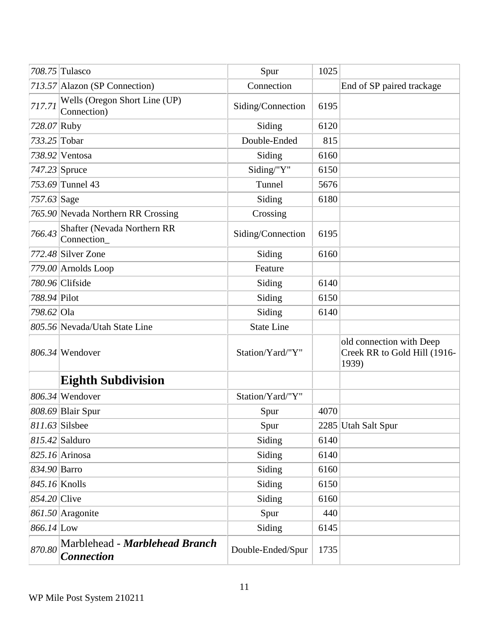|                | 708.75 Tulasco                                      | Spur              | 1025 |                                                                   |
|----------------|-----------------------------------------------------|-------------------|------|-------------------------------------------------------------------|
|                | 713.57 Alazon (SP Connection)                       | Connection        |      | End of SP paired trackage                                         |
| 717.71         | Wells (Oregon Short Line (UP)<br>Connection)        | Siding/Connection | 6195 |                                                                   |
| 728.07 Ruby    |                                                     | Siding            | 6120 |                                                                   |
| 733.25 Tobar   |                                                     | Double-Ended      | 815  |                                                                   |
|                | $738.92$ Ventosa                                    | Siding            | 6160 |                                                                   |
|                | $747.23$ Spruce                                     | Siding/"Y"        | 6150 |                                                                   |
|                | $753.69$ Tunnel 43                                  | Tunnel            | 5676 |                                                                   |
| 757.63 Sage    |                                                     | Siding            | 6180 |                                                                   |
|                | 765.90 Nevada Northern RR Crossing                  | Crossing          |      |                                                                   |
| 766.43         | Shafter (Nevada Northern RR<br>Connection           | Siding/Connection | 6195 |                                                                   |
|                | $772.48$ Silver Zone                                | Siding            | 6160 |                                                                   |
|                | $779.00$ Arnolds Loop                               | Feature           |      |                                                                   |
|                | $780.96$ Clifside                                   | Siding            | 6140 |                                                                   |
| 788.94 Pilot   |                                                     | Siding            | 6150 |                                                                   |
| 798.62 Ola     |                                                     | Siding            | 6140 |                                                                   |
|                | 805.56 Nevada/Utah State Line                       | <b>State Line</b> |      |                                                                   |
|                | $806.34$ Wendover                                   | Station/Yard/"Y"  |      | old connection with Deep<br>Creek RR to Gold Hill (1916-<br>1939) |
|                | <b>Eighth Subdivision</b>                           |                   |      |                                                                   |
|                | $806.34$ Wendover                                   | Station/Yard/"Y"  |      |                                                                   |
|                | 808.69 Blair Spur                                   | Spur              | 4070 |                                                                   |
|                | $811.63$ Silsbee                                    | Spur              |      | 2285 Utah Salt Spur                                               |
|                | $815.42$ Salduro                                    | Siding            | 6140 |                                                                   |
|                | $825.16$ Arinosa                                    | Siding            | 6140 |                                                                   |
| 834.90 Barro   |                                                     | Siding            | 6160 |                                                                   |
|                | $845.16$ Knolls                                     | Siding            | 6150 |                                                                   |
| $854.20$ Clive |                                                     | Siding            | 6160 |                                                                   |
|                | $861.50$ Aragonite                                  | Spur              | 440  |                                                                   |
| 866.14 Low     |                                                     | Siding            | 6145 |                                                                   |
| 870.80         | Marblehead - Marblehead Branch<br><b>Connection</b> | Double-Ended/Spur | 1735 |                                                                   |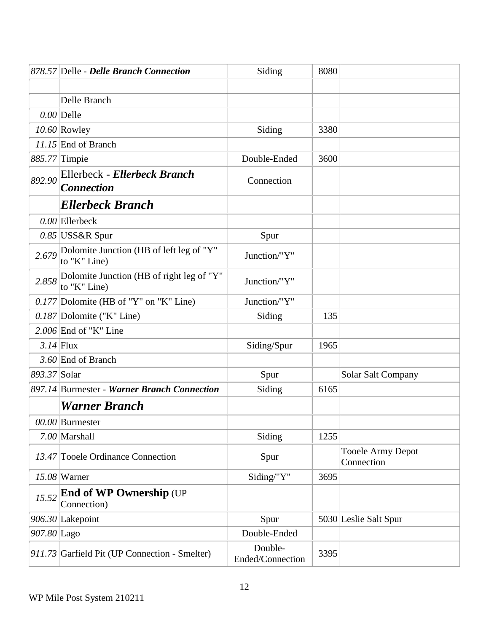|              | 878.57 Delle - Delle Branch Connection                    | Siding                      | 8080 |                                 |
|--------------|-----------------------------------------------------------|-----------------------------|------|---------------------------------|
|              |                                                           |                             |      |                                 |
|              | Delle Branch                                              |                             |      |                                 |
|              | $0.00$ Delle                                              |                             |      |                                 |
|              | $10.60$ Rowley                                            | Siding                      | 3380 |                                 |
|              | $11.15$ End of Branch                                     |                             |      |                                 |
|              | 885.77 Timpie                                             | Double-Ended                | 3600 |                                 |
| 892.90       | Ellerbeck - Ellerbeck Branch<br><b>Connection</b>         | Connection                  |      |                                 |
|              | <b>Ellerbeck Branch</b>                                   |                             |      |                                 |
|              | $0.00$ Ellerbeck                                          |                             |      |                                 |
|              | $0.85$ USS&R Spur                                         | Spur                        |      |                                 |
| 2.679        | Dolomite Junction (HB of left leg of "Y"<br>to "K" Line)  | Junction/"Y"                |      |                                 |
| 2.858        | Dolomite Junction (HB of right leg of "Y"<br>to "K" Line) | Junction/"Y"                |      |                                 |
|              | $0.177$ Dolomite (HB of "Y" on "K" Line)                  | Junction/"Y"                |      |                                 |
|              | $0.187$ Dolomite ("K" Line)                               | Siding                      | 135  |                                 |
|              | $2.006$ End of "K" Line                                   |                             |      |                                 |
|              | $3.14$ Flux                                               | Siding/Spur                 | 1965 |                                 |
|              | 3.60 End of Branch                                        |                             |      |                                 |
| 893.37 Solar |                                                           | Spur                        |      | Solar Salt Company              |
|              | 897.14 Burmester - Warner Branch Connection               | Siding                      | 6165 |                                 |
|              | <b>Warner Branch</b>                                      |                             |      |                                 |
|              | $00.00$ Burmester                                         |                             |      |                                 |
|              | 7.00 Marshall                                             | Siding                      | 1255 |                                 |
|              | 13.47 Tooele Ordinance Connection                         | Spur                        |      | Tooele Army Depot<br>Connection |
|              | $15.08$ Warner                                            | Siding/"Y"                  | 3695 |                                 |
| 15.52        | <b>End of WP Ownership (UP</b><br>Connection)             |                             |      |                                 |
|              | 906.30 Lakepoint                                          | Spur                        |      | 5030 Leslie Salt Spur           |
| 907.80 Lago  |                                                           | Double-Ended                |      |                                 |
|              | 911.73 Garfield Pit (UP Connection - Smelter)             | Double-<br>Ended/Connection | 3395 |                                 |